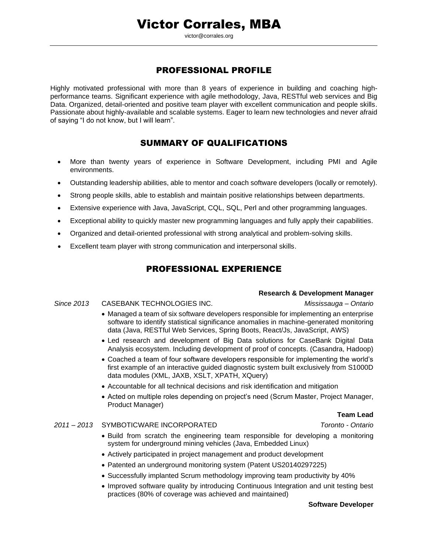victor@corrales.org

# PROFESSIONAL PROFILE

Highly motivated professional with more than 8 years of experience in building and coaching highperformance teams. Significant experience with agile methodology, Java, RESTful web services and Big Data. Organized, detail-oriented and positive team player with excellent communication and people skills. Passionate about highly-available and scalable systems. Eager to learn new technologies and never afraid of saying "I do not know, but I will learn".

## SUMMARY OF QUALIFICATIONS

- More than twenty years of experience in Software Development, including PMI and Agile environments.
- Outstanding leadership abilities, able to mentor and coach software developers (locally or remotely).
- Strong people skills, able to establish and maintain positive relationships between departments.
- Extensive experience with Java, JavaScript, CQL, SQL, Perl and other programming languages.
- Exceptional ability to quickly master new programming languages and fully apply their capabilities.
- Organized and detail-oriented professional with strong analytical and problem-solving skills.
- Excellent team player with strong communication and interpersonal skills.

# PROFESSIONAL EXPERIENCE

### **Research & Development Manager**

### *Since 2013* CASEBANK TECHNOLOGIES INC. *Mississauga – Ontario*

- Managed a team of six software developers responsible for implementing an enterprise software to identify statistical significance anomalies in machine-generated monitoring data (Java, RESTful Web Services, Spring Boots, React/Js, JavaScript, AWS)
- Led research and development of Big Data solutions for CaseBank Digital Data Analysis ecosystem. Including development of proof of concepts. (Casandra, Hadoop)
- Coached a team of four software developers responsible for implementing the world's first example of an interactive guided diagnostic system built exclusively from S1000D data modules (XML, JAXB, XSLT, XPATH, XQuery)
- Accountable for all technical decisions and risk identification and mitigation
- Acted on multiple roles depending on project's need (Scrum Master, Project Manager, Product Manager)

### **Team Lead**

### *2011 – 2013* SYMBOTICWARE INCORPORATED *Toronto - Ontario*

- Build from scratch the engineering team responsible for developing a monitoring system for underground mining vehicles (Java, Embedded Linux)
- Actively participated in project management and product development
- Patented an underground monitoring system (Patent US20140297225)
- Successfully implanted Scrum methodology improving team productivity by 40%
- Improved software quality by introducing Continuous Integration and unit testing best practices (80% of coverage was achieved and maintained)

### **Software Developer**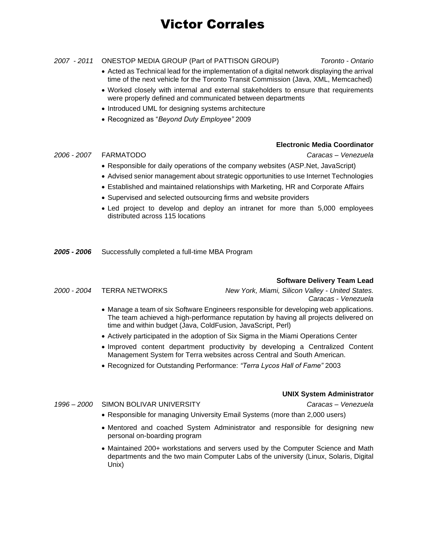# Victor Corrales

#### *2007 - 2011* ONESTOP MEDIA GROUP (Part of PATTISON GROUP) *Toronto - Ontario*

- Acted as Technical lead for the implementation of a digital network displaying the arrival time of the next vehicle for the Toronto Transit Commission (Java, XML, Memcached)
- Worked closely with internal and external stakeholders to ensure that requirements were properly defined and communicated between departments
- Introduced UML for designing systems architecture
- Recognized as "*Beyond Duty Employee"* 2009

#### **Electronic Media Coordinator**

*2006 - 2007* FARMATODO *Caracas – Venezuela*

- Responsible for daily operations of the company websites (ASP.Net, JavaScript)
- Advised senior management about strategic opportunities to use Internet Technologies
- Established and maintained relationships with Marketing, HR and Corporate Affairs
- Supervised and selected outsourcing firms and website providers
- Led project to develop and deploy an intranet for more than 5,000 employees distributed across 115 locations
- *2005 - 2006* Successfully completed a full-time MBA Program

### **Software Delivery Team Lead**

*2000 - 2004* TERRA NETWORKS *New York, Miami, Silicon Valley - United States. Caracas - Venezuela*

- Manage a team of six Software Engineers responsible for developing web applications. The team achieved a high-performance reputation by having all projects delivered on time and within budget (Java, ColdFusion, JavaScript, Perl)
- Actively participated in the adoption of Six Sigma in the Miami Operations Center
- Improved content department productivity by developing a Centralized Content Management System for Terra websites across Central and South American.
- Recognized for Outstanding Performance: *"Terra Lycos Hall of Fame"* 2003

#### *1996 – 2000* SIMON BOLIVAR UNIVERSITY *Caracas – Venezuela*

### **UNIX System Administrator**

- Responsible for managing University Email Systems (more than 2,000 users)
- Mentored and coached System Administrator and responsible for designing new personal on-boarding program
- Maintained 200+ workstations and servers used by the Computer Science and Math departments and the two main Computer Labs of the university (Linux, Solaris, Digital Unix)